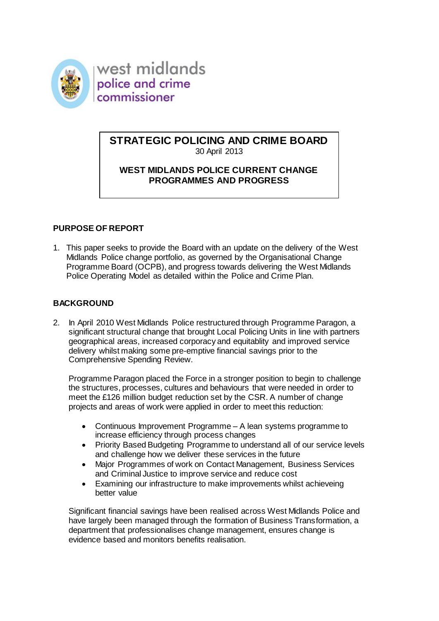

west midlands police and crime commissioner

### **STRATEGIC POLICING AND CRIME BOARD** 30 April 2013

# **WEST MIDLANDS POLICE CURRENT CHANGE PROGRAMMES AND PROGRESS**

# **PURPOSE OF REPORT**

1. This paper seeks to provide the Board with an update on the delivery of the West Midlands Police change portfolio, as governed by the Organisational Change Programme Board (OCPB), and progress towards delivering the West Midlands Police Operating Model as detailed within the Police and Crime Plan.

## **BACKGROUND**

2. In April 2010 West Midlands Police restructured through Programme Paragon, a significant structural change that brought Local Policing Units in line with partners geographical areas, increased corporacy and equitablity and improved service delivery whilst making some pre-emptive financial savings prior to the Comprehensive Spending Review.

Programme Paragon placed the Force in a stronger position to begin to challenge the structures, processes, cultures and behaviours that were needed in order to meet the £126 million budget reduction set by the CSR. A number of change projects and areas of work were applied in order to meet this reduction:

- Continuous Improvement Programme A lean systems programme to increase efficiency through process changes
- Priority Based Budgeting Programme to understand all of our service levels and challenge how we deliver these services in the future
- Major Programmes of work on Contact Management, Business Services and Criminal Justice to improve service and reduce cost
- Examining our infrastructure to make improvements whilst achieveing better value

Significant financial savings have been realised across West Midlands Police and have largely been managed through the formation of Business Transformation, a department that professionalises change management, ensures change is evidence based and monitors benefits realisation.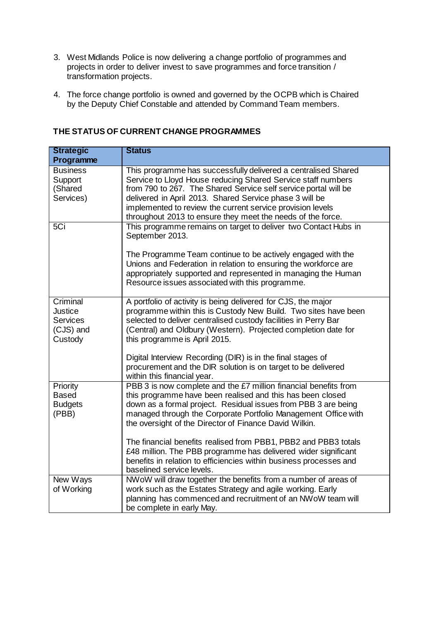- 3. West Midlands Police is now delivering a change portfolio of programmes and projects in order to deliver invest to save programmes and force transition / transformation projects.
- 4. The force change portfolio is owned and governed by the OCPB which is Chaired by the Deputy Chief Constable and attended by Command Team members.

| <b>Strategic</b>                                                      | <b>Status</b>                                                                                                                                                                                                                                                                                                                                                                                                                                                                                                                                                        |
|-----------------------------------------------------------------------|----------------------------------------------------------------------------------------------------------------------------------------------------------------------------------------------------------------------------------------------------------------------------------------------------------------------------------------------------------------------------------------------------------------------------------------------------------------------------------------------------------------------------------------------------------------------|
| Programme                                                             |                                                                                                                                                                                                                                                                                                                                                                                                                                                                                                                                                                      |
| <b>Business</b><br>Support<br>(Shared<br>Services)                    | This programme has successfully delivered a centralised Shared<br>Service to Lloyd House reducing Shared Service staff numbers<br>from 790 to 267. The Shared Service self service portal will be<br>delivered in April 2013. Shared Service phase 3 will be<br>implemented to review the current service provision levels<br>throughout 2013 to ensure they meet the needs of the force.                                                                                                                                                                            |
| 5Ci                                                                   | This programme remains on target to deliver two Contact Hubs in<br>September 2013.<br>The Programme Team continue to be actively engaged with the<br>Unions and Federation in relation to ensuring the workforce are<br>appropriately supported and represented in managing the Human<br>Resource issues associated with this programme.                                                                                                                                                                                                                             |
| Criminal<br><b>Justice</b><br><b>Services</b><br>(CJS) and<br>Custody | A portfolio of activity is being delivered for CJS, the major<br>programme within this is Custody New Build. Two sites have been<br>selected to deliver centralised custody facilities in Perry Bar<br>(Central) and Oldbury (Western). Projected completion date for<br>this programme is April 2015.<br>Digital Interview Recording (DIR) is in the final stages of<br>procurement and the DIR solution is on target to be delivered<br>within this financial year.                                                                                                |
| Priority<br><b>Based</b><br><b>Budgets</b><br>(PBB)                   | PBB 3 is now complete and the £7 million financial benefits from<br>this programme have been realised and this has been closed<br>down as a formal project. Residual issues from PBB 3 are being<br>managed through the Corporate Portfolio Management Office with<br>the oversight of the Director of Finance David Wilkin.<br>The financial benefits realised from PBB1, PBB2 and PBB3 totals<br>£48 million. The PBB programme has delivered wider significant<br>benefits in relation to efficiencies within business processes and<br>baselined service levels. |
| New Ways<br>of Working                                                | NWoW will draw together the benefits from a number of areas of<br>work such as the Estates Strategy and agile working. Early<br>planning has commenced and recruitment of an NWoW team will<br>be complete in early May.                                                                                                                                                                                                                                                                                                                                             |

## **THE STATUS OF CURRENT CHANGE PROGRAMMES**